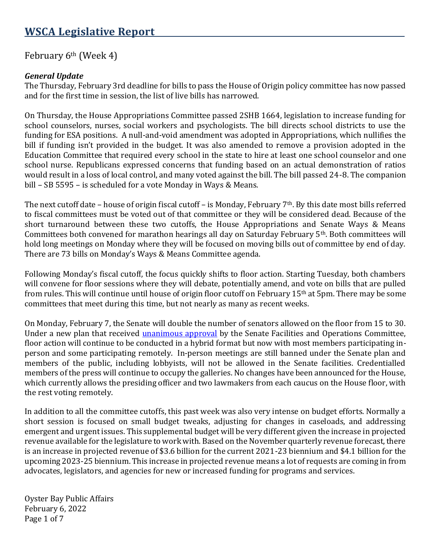# **WSCA Legislative Report**

### February  $6<sup>th</sup>$  (Week 4)

### *General Update*

The Thursday, February 3rd deadline for bills to pass the House of Origin policy committee has now passed and for the first time in session, the list of live bills has narrowed.

On Thursday, the House Appropriations Committee passed 2SHB 1664, legislation to increase funding for school counselors, nurses, social workers and psychologists. The bill directs school districts to use the funding for ESA positions. A null-and-void amendment was adopted in Appropriations, which nullifies the bill if funding isn't provided in the budget. It was also amended to remove a provision adopted in the Education Committee that required every school in the state to hire at least one school counselor and one school nurse. Republicans expressed concerns that funding based on an actual demonstration of ratios would result in a loss of local control, and many voted against the bill. The bill passed 24-8. The companion bill – SB 5595 – is scheduled for a vote Monday in Ways & Means.

The next cutoff date – house of origin fiscal cutoff – is Monday, February 7<sup>th</sup>. By this date most bills referred to fiscal committees must be voted out of that committee or they will be considered dead. Because of the short turnaround between these two cutoffs, the House Appropriations and Senate Ways & Means Committees both convened for marathon hearings all day on Saturday February 5th. Both committees will hold long meetings on Monday where they will be focused on moving bills out of committee by end of day. There are 73 bills on Monday's Ways & Means Committee agenda.

Following Monday's fiscal cutoff, the focus quickly shifts to floor action. Starting Tuesday, both chambers will convene for floor sessions where they will debate, potentially amend, and vote on bills that are pulled from rules. This will continue until house of origin floor cutoff on February 15th at 5pm. There may be some committees that meet during this time, but not nearly as many as recent weeks.

On Monday, February 7, the Senate will double the number of senators allowed on the floor from 15 to 30. Under a new plan that received [unanimous approval](https://apnews.com/article/coronavirus-pandemic-business-health-washington-1c1e591a33373fa9d40f0bf6c7ca4b3f) by the Senate Facilities and Operations Committee, floor action will continue to be conducted in a hybrid format but now with most members participating inperson and some participating remotely. In-person meetings are still banned under the Senate plan and members of the public, including lobbyists, will not be allowed in the Senate facilities. Credentialled members of the press will continue to occupy the galleries. No changes have been announced for the House, which currently allows the presiding officer and two lawmakers from each caucus on the House floor, with the rest voting remotely.

In addition to all the committee cutoffs, this past week was also very intense on budget efforts. Normally a short session is focused on small budget tweaks, adjusting for changes in caseloads, and addressing emergent and urgent issues. This supplemental budget will be very different given the increase in projected revenue available for the legislature to work with. Based on the November quarterly revenue forecast, there is an increase in projected revenue of \$3.6 billion for the current 2021-23 biennium and \$4.1 billion for the upcoming 2023-25 biennium. This increase in projected revenue means a lot of requests are coming in from advocates, legislators, and agencies for new or increased funding for programs and services.

Oyster Bay Public Affairs February 6, 2022 Page 1 of 7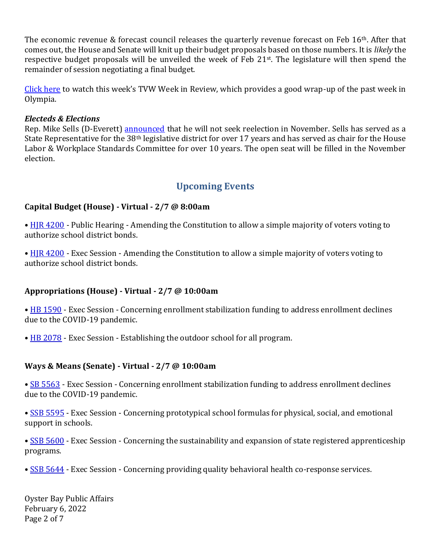The economic revenue & forecast council releases the quarterly revenue forecast on Feb 16<sup>th</sup>. After that comes out, the House and Senate will knit up their budget proposals based on those numbers. It is *likely* the respective budget proposals will be unveiled the week of Feb 21<sup>st</sup>. The legislature will then spend the remainder of session negotiating a final budget.

[Click here](https://tvw.org/video/legislative-review-january-31-february-4-2022021091/) to watch this week's TVW Week in Review, which provides a good wrap-up of the past week in Olympia.

### *Electeds & Elections*

Rep. Mike Sells (D-Everett) [announced](https://housedemocrats.wa.gov/sells/2022/02/01/sells-to-retire-from-state-house/) that he will not seek reelection in November. Sells has served as a State Representative for the 38th legislative district for over 17 years and has served as chair for the House Labor & Workplace Standards Committee for over 10 years. The open seat will be filled in the November election.

## **Upcoming Events**

### **Capital Budget (House) - Virtual - 2/7 @ 8:00am**

• [HJR 4200](https://app.leg.wa.gov/billsummary?Year=2021&BillNumber=4200) - Public Hearing - Amending the Constitution to allow a simple majority of voters voting to authorize school district bonds.

• [HJR 4200](https://app.leg.wa.gov/billsummary?Year=2021&BillNumber=4200) - Exec Session - Amending the Constitution to allow a simple majority of voters voting to authorize school district bonds.

### **Appropriations (House) - Virtual - 2/7 @ 10:00am**

• [HB 1590](https://app.leg.wa.gov/billsummary?Year=2021&BillNumber=1590) - Exec Session - Concerning enrollment stabilization funding to address enrollment declines due to the COVID-19 pandemic.

• [HB 2078](https://app.leg.wa.gov/billsummary?Year=2021&BillNumber=2078) - Exec Session - Establishing the outdoor school for all program.

#### **Ways & Means (Senate) - Virtual - 2/7 @ 10:00am**

• [SB 5563](https://app.leg.wa.gov/billsummary?Year=2021&BillNumber=5563) - Exec Session - Concerning enrollment stabilization funding to address enrollment declines due to the COVID-19 pandemic.

• [SSB 5595](https://app.leg.wa.gov/billsummary?Year=2021&BillNumber=5595) - Exec Session - Concerning prototypical school formulas for physical, social, and emotional support in schools.

• [SSB 5600](https://app.leg.wa.gov/billsummary?Year=2021&BillNumber=5600) - Exec Session - Concerning the sustainability and expansion of state registered apprenticeship programs.

• [SSB 5644](https://app.leg.wa.gov/billsummary?Year=2021&BillNumber=5644) - Exec Session - Concerning providing quality behavioral health co-response services.

Oyster Bay Public Affairs February 6, 2022 Page 2 of 7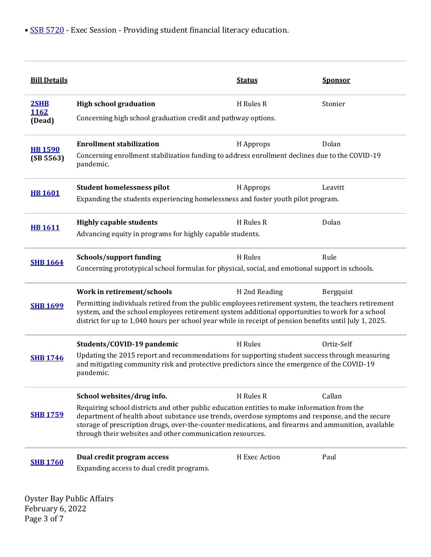| <b>Bill Details</b>         |                                                                                                                                                                                                                                                                                                                                                                    | <b>Status</b> | <b>Sponsor</b> |  |
|-----------------------------|--------------------------------------------------------------------------------------------------------------------------------------------------------------------------------------------------------------------------------------------------------------------------------------------------------------------------------------------------------------------|---------------|----------------|--|
| 2SHB                        | <b>High school graduation</b>                                                                                                                                                                                                                                                                                                                                      | H Rules R     | Stonier        |  |
| 1162<br>(Dead)              | Concerning high school graduation credit and pathway options.                                                                                                                                                                                                                                                                                                      |               |                |  |
| <b>HB 1590</b><br>(SB 5563) | <b>Enrollment stabilization</b>                                                                                                                                                                                                                                                                                                                                    | H Approps     | Dolan          |  |
|                             | Concerning enrollment stabilization funding to address enrollment declines due to the COVID-19<br>pandemic.                                                                                                                                                                                                                                                        |               |                |  |
| <b>HB1601</b>               | <b>Student homelessness pilot</b>                                                                                                                                                                                                                                                                                                                                  | H Approps     | Leavitt        |  |
|                             | Expanding the students experiencing homelessness and foster youth pilot program.                                                                                                                                                                                                                                                                                   |               |                |  |
| <b>HB1611</b>               | <b>Highly capable students</b>                                                                                                                                                                                                                                                                                                                                     | H Rules R     | Dolan          |  |
|                             | Advancing equity in programs for highly capable students.                                                                                                                                                                                                                                                                                                          |               |                |  |
|                             | Schools/support funding                                                                                                                                                                                                                                                                                                                                            | H Rules       | Rule           |  |
| <b>SHB 1664</b>             | Concerning prototypical school formulas for physical, social, and emotional support in schools.                                                                                                                                                                                                                                                                    |               |                |  |
| <b>SHB 1699</b>             | Work in retirement/schools                                                                                                                                                                                                                                                                                                                                         | H 2nd Reading | Bergquist      |  |
|                             | Permitting individuals retired from the public employees retirement system, the teachers retirement<br>system, and the school employees retirement system additional opportunities to work for a school<br>district for up to 1,040 hours per school year while in receipt of pension benefits until July 1, 2025.                                                 |               |                |  |
| <b>SHB 1746</b>             | Students/COVID-19 pandemic                                                                                                                                                                                                                                                                                                                                         | H Rules       | Ortiz-Self     |  |
|                             | Updating the 2015 report and recommendations for supporting student success through measuring<br>and mitigating community risk and protective predictors since the emergence of the COVID-19<br>pandemic.                                                                                                                                                          |               |                |  |
| <b>SHB 1759</b>             | School websites/drug info.                                                                                                                                                                                                                                                                                                                                         | H Rules R     | Callan         |  |
|                             | Requiring school districts and other public education entities to make information from the<br>department of health about substance use trends, overdose symptoms and response, and the secure<br>storage of prescription drugs, over-the-counter medications, and firearms and ammunition, available<br>through their websites and other communication resources. |               |                |  |
|                             |                                                                                                                                                                                                                                                                                                                                                                    |               |                |  |
| <b>SHB 1760</b>             | Dual credit program access                                                                                                                                                                                                                                                                                                                                         | H Exec Action | Paul           |  |

February 6, 2022 Page 3 of 7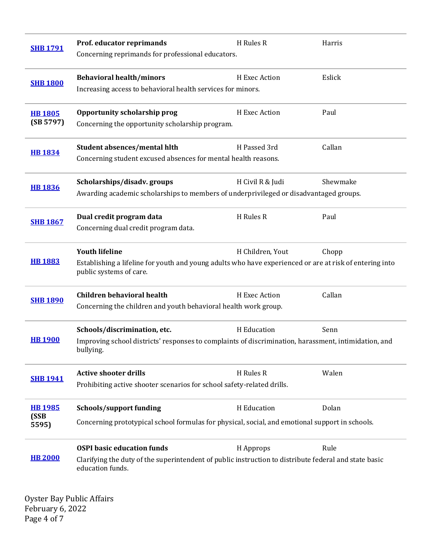| <b>SHB 1791</b>                 | Prof. educator reprimands<br>Concerning reprimands for professional educators.                                                                                 | H Rules R        | Harris   |
|---------------------------------|----------------------------------------------------------------------------------------------------------------------------------------------------------------|------------------|----------|
| <b>SHB 1800</b>                 | <b>Behavioral health/minors</b><br>Increasing access to behavioral health services for minors.                                                                 | H Exec Action    | Eslick   |
| <b>HB 1805</b><br>(SB 5797)     | Opportunity scholarship prog<br>Concerning the opportunity scholarship program.                                                                                | H Exec Action    | Paul     |
| <b>HB 1834</b>                  | Student absences/mental hlth<br>Concerning student excused absences for mental health reasons.                                                                 | H Passed 3rd     | Callan   |
| <b>HB 1836</b>                  | Scholarships/disadv.groups<br>Awarding academic scholarships to members of underprivileged or disadvantaged groups.                                            | H Civil R & Judi | Shewmake |
| <b>SHB 1867</b>                 | Dual credit program data<br>Concerning dual credit program data.                                                                                               | H Rules R        | Paul     |
| <b>HB 1883</b>                  | <b>Youth lifeline</b><br>Establishing a lifeline for youth and young adults who have experienced or are at risk of entering into<br>public systems of care.    | H Children, Yout | Chopp    |
| <b>SHB 1890</b>                 | <b>Children behavioral health</b><br>Concerning the children and youth behavioral health work group.                                                           | H Exec Action    | Callan   |
| <b>HB1900</b>                   | Schools/discrimination, etc.<br>Improving school districts' responses to complaints of discrimination, harassment, intimidation, and<br>bullying.              | H Education      | Senn     |
| <b>SHB 1941</b>                 | <b>Active shooter drills</b><br>Prohibiting active shooter scenarios for school safety-related drills.                                                         | H Rules R        | Walen    |
| <b>HB 1985</b><br>(SSB<br>5595) | Schools/support funding<br>Concerning prototypical school formulas for physical, social, and emotional support in schools.                                     | H Education      | Dolan    |
| <b>HB 2000</b>                  | <b>OSPI</b> basic education funds<br>Clarifying the duty of the superintendent of public instruction to distribute federal and state basic<br>education funds. | H Approps        | Rule     |

Oyster Bay Public Affairs February 6, 2022 Page 4 of 7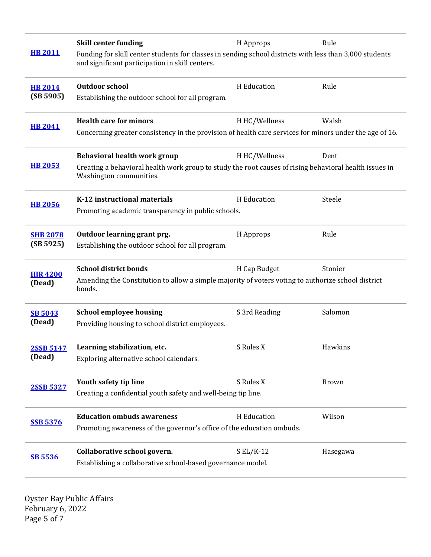|                              | <b>Skill center funding</b>                                                                                                                                | H Approps     | Rule         |  |
|------------------------------|------------------------------------------------------------------------------------------------------------------------------------------------------------|---------------|--------------|--|
| <b>HB 2011</b>               | Funding for skill center students for classes in sending school districts with less than 3,000 students<br>and significant participation in skill centers. |               |              |  |
| <b>HB 2014</b>               | <b>Outdoor school</b>                                                                                                                                      | H Education   | Rule         |  |
| (SB 5905)                    | Establishing the outdoor school for all program.                                                                                                           |               |              |  |
| <b>HB 2041</b>               | <b>Health care for minors</b>                                                                                                                              | H HC/Wellness | Walsh        |  |
|                              | Concerning greater consistency in the provision of health care services for minors under the age of 16.                                                    |               |              |  |
| <b>HB 2053</b>               | Behavioral health work group                                                                                                                               | H HC/Wellness | Dent         |  |
|                              | Creating a behavioral health work group to study the root causes of rising behavioral health issues in<br>Washington communities.                          |               |              |  |
| <b>HB 2056</b>               | K-12 instructional materials                                                                                                                               | H Education   | Steele       |  |
|                              | Promoting academic transparency in public schools.                                                                                                         |               |              |  |
| <b>SHB 2078</b><br>(SB 5925) | Outdoor learning grant prg.                                                                                                                                | H Approps     | Rule         |  |
|                              | Establishing the outdoor school for all program.                                                                                                           |               |              |  |
| <b>HJR4200</b>               | <b>School district bonds</b>                                                                                                                               | H Cap Budget  | Stonier      |  |
| (Dead)                       | Amending the Constitution to allow a simple majority of voters voting to authorize school district<br>bonds.                                               |               |              |  |
| <b>SB 5043</b><br>(Dead)     | <b>School employee housing</b>                                                                                                                             | S 3rd Reading | Salomon      |  |
|                              | Providing housing to school district employees.                                                                                                            |               |              |  |
| <b>2SSB 5147</b><br>(Dead)   | Learning stabilization, etc.                                                                                                                               | S Rules X     | Hawkins      |  |
|                              | Exploring alternative school calendars.                                                                                                                    |               |              |  |
| 2SSB 5327                    | Youth safety tip line                                                                                                                                      | S Rules X     | <b>Brown</b> |  |
|                              | Creating a confidential youth safety and well-being tip line.                                                                                              |               |              |  |
|                              | <b>Education ombuds awareness</b>                                                                                                                          | H Education   | Wilson       |  |
| <b>SSB 5376</b>              | Promoting awareness of the governor's office of the education ombuds.                                                                                      |               |              |  |
| <b>SB 5536</b>               | Collaborative school govern.                                                                                                                               | $SL/K-12$     | Hasegawa     |  |
|                              | Establishing a collaborative school-based governance model.                                                                                                |               |              |  |

Oyster Bay Public Affairs February 6, 2022 Page 5 of 7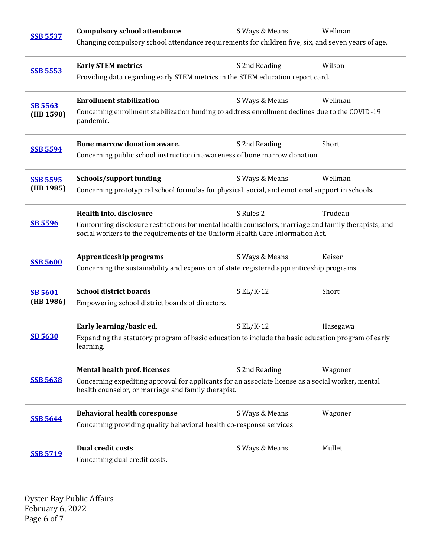| <b>SSB 5537</b>              | <b>Compulsory school attendance</b>                                                                                                                                                    | S Ways & Means | Wellman  |  |  |
|------------------------------|----------------------------------------------------------------------------------------------------------------------------------------------------------------------------------------|----------------|----------|--|--|
|                              | Changing compulsory school attendance requirements for children five, six, and seven years of age.                                                                                     |                |          |  |  |
| <b>SSB 5553</b>              | <b>Early STEM metrics</b>                                                                                                                                                              | S 2nd Reading  | Wilson   |  |  |
|                              | Providing data regarding early STEM metrics in the STEM education report card.                                                                                                         |                |          |  |  |
| <b>SB 5563</b><br>(HB 1590)  | <b>Enrollment stabilization</b>                                                                                                                                                        | S Ways & Means | Wellman  |  |  |
|                              | Concerning enrollment stabilization funding to address enrollment declines due to the COVID-19<br>pandemic.                                                                            |                |          |  |  |
| <b>SSB 5594</b>              | Bone marrow donation aware.                                                                                                                                                            | S 2nd Reading  | Short    |  |  |
|                              | Concerning public school instruction in awareness of bone marrow donation.                                                                                                             |                |          |  |  |
| <b>SSB 5595</b><br>(HB 1985) | <b>Schools/support funding</b>                                                                                                                                                         | S Ways & Means | Wellman  |  |  |
|                              | Concerning prototypical school formulas for physical, social, and emotional support in schools.                                                                                        |                |          |  |  |
| <b>SB 5596</b>               | <b>Health info. disclosure</b>                                                                                                                                                         | S Rules 2      | Trudeau  |  |  |
|                              | Conforming disclosure restrictions for mental health counselors, marriage and family therapists, and<br>social workers to the requirements of the Uniform Health Care Information Act. |                |          |  |  |
| <b>SSB 5600</b>              | <b>Apprenticeship programs</b>                                                                                                                                                         | S Ways & Means | Keiser   |  |  |
|                              | Concerning the sustainability and expansion of state registered apprenticeship programs.                                                                                               |                |          |  |  |
| <b>SB 5601</b>               | <b>School district boards</b>                                                                                                                                                          | $S EL/K-12$    | Short    |  |  |
| (HB 1986)                    | Empowering school district boards of directors.                                                                                                                                        |                |          |  |  |
| <b>SB 5630</b>               | Early learning/basic ed.                                                                                                                                                               | $S EL/K-12$    | Hasegawa |  |  |
|                              | Expanding the statutory program of basic education to include the basic education program of early<br>learning.                                                                        |                |          |  |  |
| <b>SSB 5638</b>              | <b>Mental health prof. licenses</b>                                                                                                                                                    | S 2nd Reading  | Wagoner  |  |  |
|                              | Concerning expediting approval for applicants for an associate license as a social worker, mental<br>health counselor, or marriage and family therapist.                               |                |          |  |  |
| <b>SSB 5644</b>              | <b>Behavioral health coresponse</b>                                                                                                                                                    | S Ways & Means | Wagoner  |  |  |
|                              | Concerning providing quality behavioral health co-response services                                                                                                                    |                |          |  |  |
| <b>SSB 5719</b>              | <b>Dual credit costs</b>                                                                                                                                                               | S Ways & Means | Mullet   |  |  |
|                              | Concerning dual credit costs.                                                                                                                                                          |                |          |  |  |

Oyster Bay Public Affairs February 6, 2022 Page 6 of 7